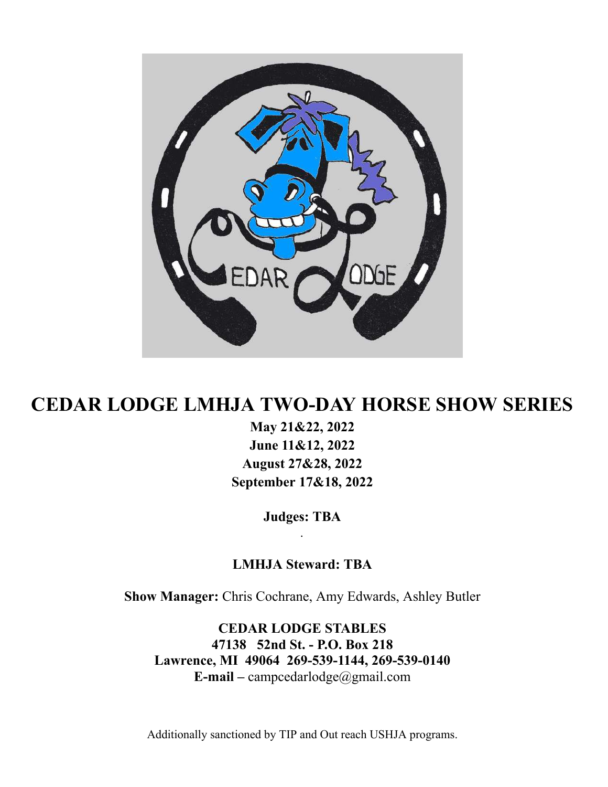

## **CEDAR LODGE LMHJA TWO-DAY HORSE SHOW SERIES**

 **May 21&22, 2022 June 11&12, 2022 August 27&28, 2022 September 17&18, 2022** 

> **Judges: TBA**   *.*

 **LMHJA Steward: TBA** 

 **Show Manager:** Chris Cochrane, Amy Edwards, Ashley Butler

 **CEDAR LODGE STABLES 47138 52nd St. - P.O. Box 218 Lawrence, MI 49064 269-539-1144, 269-539-0140 E-mail –** campcedarlodge@gmail.com

Additionally sanctioned by TIP and Out reach USHJA programs.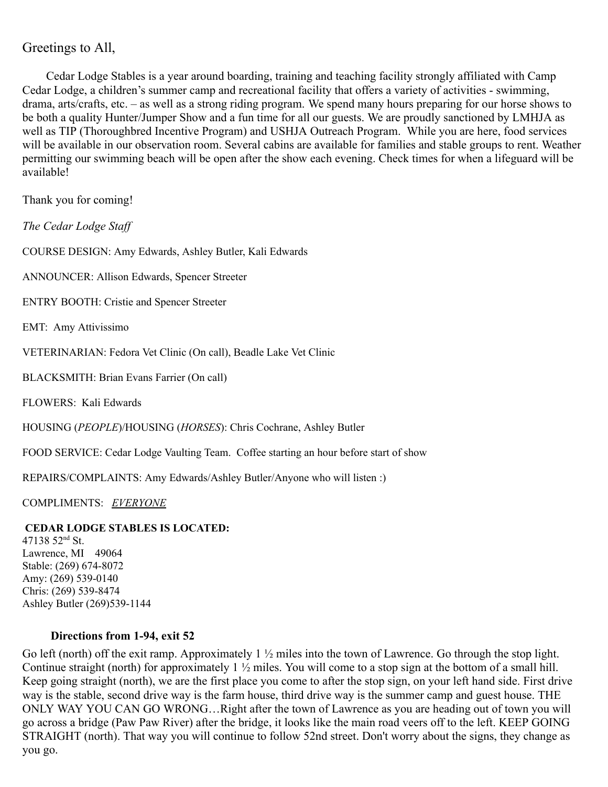## Greetings to All,

 Cedar Lodge Stables is a year around boarding, training and teaching facility strongly affiliated with Camp Cedar Lodge, a children's summer camp and recreational facility that offers a variety of activities - swimming, drama, arts/crafts, etc. – as well as a strong riding program. We spend many hours preparing for our horse shows to be both a quality Hunter/Jumper Show and a fun time for all our guests. We are proudly sanctioned by LMHJA as well as TIP (Thoroughbred Incentive Program) and USHJA Outreach Program. While you are here, food services will be available in our observation room. Several cabins are available for families and stable groups to rent. Weather permitting our swimming beach will be open after the show each evening. Check times for when a lifeguard will be available!

Thank you for coming!

 *The Cedar Lodge Staff* 

COURSE DESIGN: Amy Edwards, Ashley Butler, Kali Edwards

ANNOUNCER: Allison Edwards, Spencer Streeter

ENTRY BOOTH: Cristie and Spencer Streeter

EMT: Amy Attivissimo

VETERINARIAN: Fedora Vet Clinic (On call), Beadle Lake Vet Clinic

BLACKSMITH: Brian Evans Farrier (On call)

FLOWERS: Kali Edwards

HOUSING ( *PEOPLE* )/HOUSING ( *HORSES* ): Chris Cochrane, Ashley Butler

FOOD SERVICE: Cedar Lodge Vaulting Team. Coffee starting an hour before start of show

REPAIRS/COMPLAINTS: Amy Edwards/Ashley Butler/Anyone who will listen :)

COMPLIMENTS: *EVERYONE* 

#### **CEDAR LODGE STABLES IS LOCATED:**

 $47138$  52<sup>nd</sup> St. Lawrence, MI 49064 Stable: (269) 674-8072 Amy: (269) 539-0140 Chris: (269) 539-8474 Ashley Butler (269)539-1144

#### **Directions from 1-94, exit 52**

Go left (north) off the exit ramp. Approximately  $1 \frac{1}{2}$  miles into the town of Lawrence. Go through the stop light. Continue straight (north) for approximately 1 ½ miles. You will come to a stop sign at the bottom of a small hill. Keep going straight (north), we are the first place you come to after the stop sign, on your left hand side. First drive way is the stable, second drive way is the farm house, third drive way is the summer camp and guest house. THE ONLY WAY YOU CAN GO WRONG…Right after the town of Lawrence as you are heading out of town you will go across a bridge (Paw Paw River) after the bridge, it looks like the main road veers off to the left. KEEP GOING STRAIGHT (north). That way you will continue to follow 52nd street. Don't worry about the signs, they change as you go.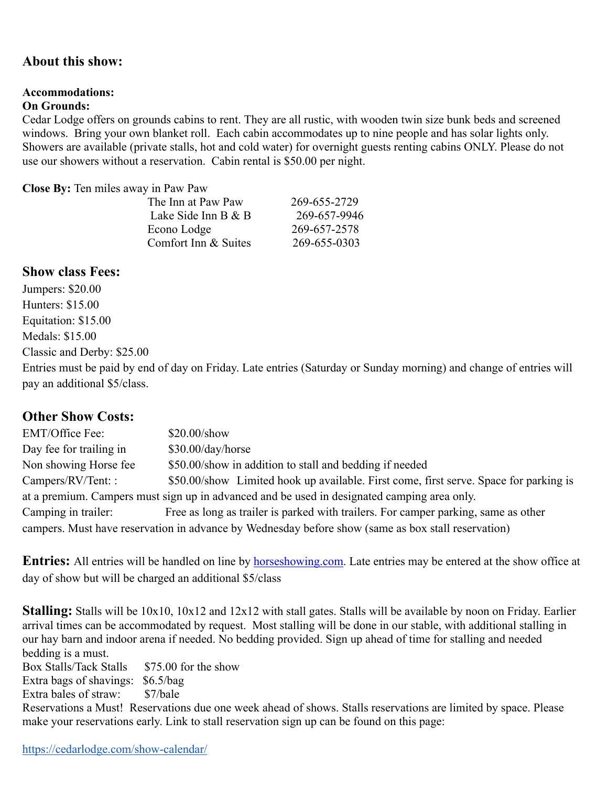## **About this show:**

#### **Accommodations:**

#### **On Grounds:**

 Cedar Lodge offers on grounds cabins to rent. They are all rustic, with wooden twin size bunk beds and screened windows. Bring your own blanket roll. Each cabin accommodates up to nine people and has solar lights only. Showers are available (private stalls, hot and cold water) for overnight guests renting cabins ONLY. Please do not use our showers without a reservation. Cabin rental is \$50.00 per night.

 **Close By:** Ten miles away in Paw Paw

| The Inn at Paw Paw   | 269-655-2729 |
|----------------------|--------------|
| Lake Side Inn B $&B$ | 269-657-9946 |
| Econo Lodge          | 269-657-2578 |
| Comfort Inn & Suites | 269-655-0303 |
|                      |              |

## **Show class Fees:**

 Jumpers: \$20.00 Hunters: \$15.00 Equitation: \$15.00 Medals: \$15.00 Classic and Derby: \$25.00

 Entries must be paid by end of day on Friday. Late entries (Saturday or Sunday morning) and change of entries will pay an additional \$5/class.

## **Other Show Costs:**

EMT/Office Fee: \$20.00/show Day fee for trailing in \$30.00/day/horse Non showing Horse fee  $$50.00$ /show in addition to stall and bedding if needed Campers/RV/Tent: : \$50.00/show Limited hook up available. First come, first serve. Space for parking is at a premium. Campers must sign up in advanced and be used in designated camping area only. Camping in trailer: Free as long as trailer is parked with trailers. For camper parking, same as other campers. Must have reservation in advance by Wednesday before show (same as box stall reservation)

**Entries:** All entries will be handled on line by **horseshowing.com**. Late entries may be entered at the show office at day of show but will be charged an additional \$5/class

 **Stalling:** Stalls will be 10x10, 10x12 and 12x12 with stall gates. Stalls will be available by noon on Friday. Earlier arrival times can be accommodated by request. Most stalling will be done in our stable, with additional stalling in our hay barn and indoor arena if needed. No bedding provided. Sign up ahead of time for stalling and needed bedding is a must.

Box Stalls/Tack Stalls \$75.00 for the show Extra bags of shavings: \$6.5/bag

Extra bales of straw: \$7/bale

 Reservations a Must! Reservations due one week ahead of shows. Stalls reservations are limited by space. Please make your reservations early. Link to stall reservation sign up can be found on this page: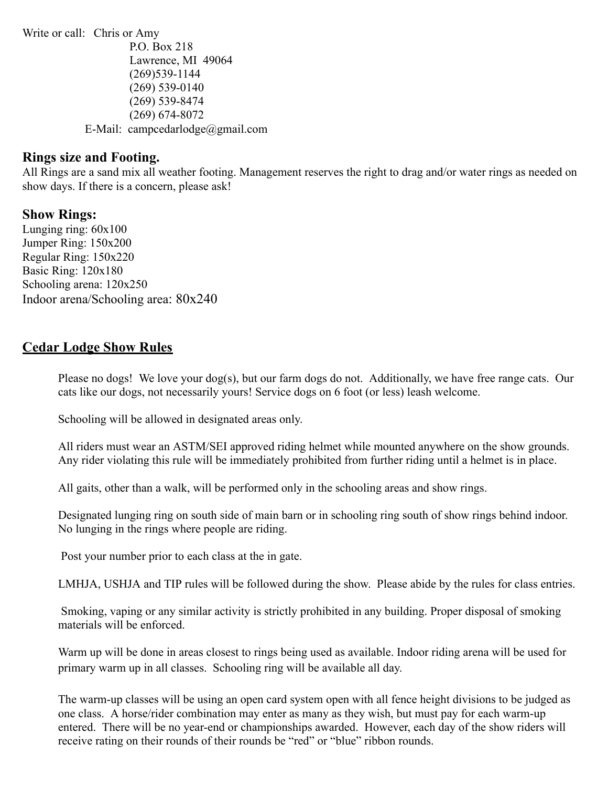Write or call: Chris or Amy P.O. Box 218 Lawrence, MI 49064 (269)539-1144 (269) 539-0140 (269) 539-8474 (269) 674-8072 E-Mail: campcedarlodge@gmail.com

## **Rings size and Footing.**

 All Rings are a sand mix all weather footing. Management reserves the right to drag and/or water rings as needed on show days. If there is a concern, please ask!

#### **Show Rings:**

 Lunging ring: 60x100 Jumper Ring: 150x200 Regular Ring: 150x220 Basic Ring: 120x180 Schooling arena: 120x250 Indoor arena/Schooling area: 80x240

## **Cedar Lodge Show Rules**

 Please no dogs! We love your dog(s), but our farm dogs do not. Additionally, we have free range cats. Our cats like our dogs, not necessarily yours! Service dogs on 6 foot (or less) leash welcome.

Schooling will be allowed in designated areas only.

 All riders must wear an ASTM/SEI approved riding helmet while mounted anywhere on the show grounds. Any rider violating this rule will be immediately prohibited from further riding until a helmet is in place.

All gaits, other than a walk, will be performed only in the schooling areas and show rings.

 Designated lunging ring on south side of main barn or in schooling ring south of show rings behind indoor. No lunging in the rings where people are riding.

Post your number prior to each class at the in gate.

LMHJA, USHJA and TIP rules will be followed during the show. Please abide by the rules for class entries.

 Smoking, vaping or any similar activity is strictly prohibited in any building. Proper disposal of smoking materials will be enforced.

 Warm up will be done in areas closest to rings being used as available. Indoor riding arena will be used for primary warm up in all classes. Schooling ring will be available all day.

 The warm-up classes will be using an open card system open with all fence height divisions to be judged as one class. A horse/rider combination may enter as many as they wish, but must pay for each warm-up entered. There will be no year-end or championships awarded. However, each day of the show riders will receive rating on their rounds of their rounds be "red" or "blue" ribbon rounds.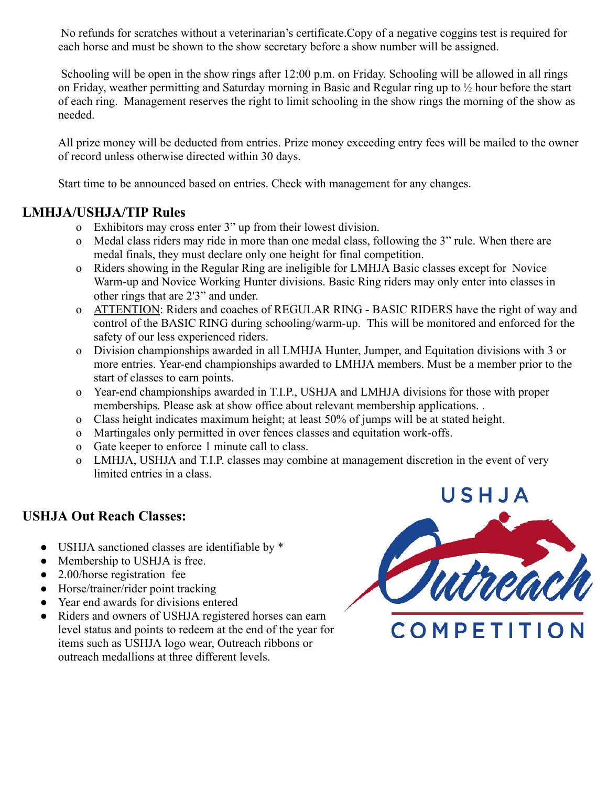No refunds for scratches without a veterinarian's certificate.Copy of a negative coggins test is required for each horse and must be shown to the show secretary before a show number will be assigned.

 Schooling will be open in the show rings after 12:00 p.m. on Friday. Schooling will be allowed in all rings on Friday, weather permitting and Saturday morning in Basic and Regular ring up to ½ hour before the start of each ring. Management reserves the right to limit schooling in the show rings the morning of the show as needed.

 All prize money will be deducted from entries. Prize money exceeding entry fees will be mailed to the owner of record unless otherwise directed within 30 days.

Start time to be announced based on entries. Check with management for any changes.

## **LMHJA/USHJA/TIP Rules**

- o Exhibitors may cross enter 3" up from their lowest division.
- o Medal class riders may ride in more than one medal class, following the 3" rule. When there are medal finals, they must declare only one height for final competition.
- o Riders showing in the Regular Ring are ineligible for LMHJA Basic classes except for Novice Warm-up and Novice Working Hunter divisions. Basic Ring riders may only enter into classes in other rings that are 2'3" and under.
- o ATTENTION: Riders and coaches of REGULAR RING BASIC RIDERS have the right of way and control of the BASIC RING during schooling/warm-up. This will be monitored and enforced for the safety of our less experienced riders.
- o Division championships awarded in all LMHJA Hunter, Jumper, and Equitation divisions with 3 or more entries. Year-end championships awarded to LMHJA members. Must be a member prior to the start of classes to earn points.
- o Year-end championships awarded in T.I.P., USHJA and LMHJA divisions for those with proper memberships. Please ask at show office about relevant membership applications. .
- o Class height indicates maximum height; at least 50% of jumps will be at stated height.
- o Martingales only permitted in over fences classes and equitation work-offs.
- o Gate keeper to enforce 1 minute call to class.
- o LMHJA, USHJA and T.I.P. classes may combine at management discretion in the event of very limited entries in a class.

## **USHJA Out Reach Classes:**

- USHJA sanctioned classes are identifiable by \*
- Membership to USHJA is free.
- 2.00/horse registration fee
- Horse/trainer/rider point tracking
- Year end awards for divisions entered
- Riders and owners of USHJA registered horses can earn level status and points to redeem at the end of the year for items such as USHJA logo wear, Outreach ribbons or outreach medallions at three different levels.

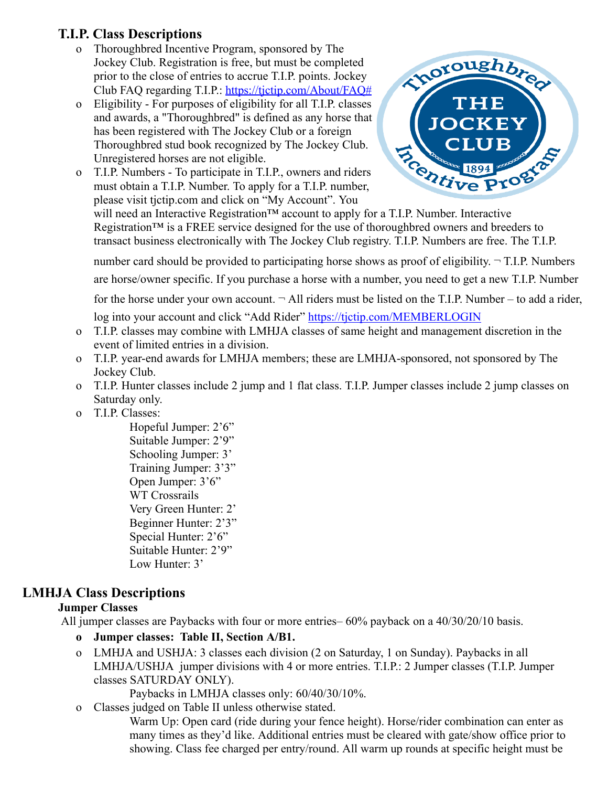## **T.I.P. Class Descriptions**

- o Thoroughbred Incentive Program, sponsored by The Jockey Club. Registration is free, but must be completed prior to the close of entries to accrue T.I.P. points. Jockey Club FAQ regarding T.I.P.: [https://tjctip.com/About/FAQ#](https://tjctip.com/About/FAQ)
- o Eligibility For purposes of eligibility for all T.I.P. classes and awards, a "Thoroughbred" is defined as any horse that has been registered with The Jockey Club or a foreign Thoroughbred stud book recognized by The Jockey Club. Unregistered horses are not eligible.
- o T.I.P. Numbers To participate in T.I.P., owners and riders must obtain a T.I.P. Number. To apply for a T.I.P. number, please visit tjctip.com and click on "My Account". You



will need an Interactive Registration<sup>™</sup> account to apply for a T.I.P. Number. Interactive Registration<sup>™</sup> is a FREE service designed for the use of thoroughbred owners and breeders to transact business electronically with The Jockey Club registry. T.I.P. Numbers are free. The T.I.P.

number card should be provided to participating horse shows as proof of eligibility.  $\neg$  T.I.P. Numbers are horse/owner specific. If you purchase a horse with a number, you need to get a new T.I.P. Number for the horse under your own account.  $\neg$  All riders must be listed on the T.I.P. Number – to add a rider,

log into your account and click "Add Rider"<https://tjctip.com/MEMBERLOGIN>

- o T.I.P. classes may combine with LMHJA classes of same height and management discretion in the event of limited entries in a division.
- o T.I.P. year-end awards for LMHJA members; these are LMHJA-sponsored, not sponsored by The Jockey Club.
- o T.I.P. Hunter classes include 2 jump and 1 flat class. T.I.P. Jumper classes include 2 jump classes on Saturday only.
- o T.I.P. Classes:

 Hopeful Jumper: 2'6" Suitable Jumper: 2'9" Schooling Jumper: 3' Training Jumper: 3'3" Open Jumper: 3'6" WT Crossrails Very Green Hunter: 2' Beginner Hunter: 2'3" Special Hunter: 2'6" Suitable Hunter: 2'9" Low Hunter: 3'

## **LMHJA Class Descriptions**

## **Jumper Classes**

All jumper classes are Paybacks with four or more entries– 60% payback on a 40/30/20/10 basis.

- **o Jumper classes: Table II, Section A/B1.**
- o LMHJA and USHJA: 3 classes each division (2 on Saturday, 1 on Sunday). Paybacks in all LMHJA/USHJA jumper divisions with 4 or more entries. T.I.P.: 2 Jumper classes (T.I.P. Jumper classes SATURDAY ONLY).

Paybacks in LMHJA classes only: 60/40/30/10%.

o Classes judged on Table II unless otherwise stated.

 Warm Up: Open card (ride during your fence height). Horse/rider combination can enter as many times as they'd like. Additional entries must be cleared with gate/show office prior to showing. Class fee charged per entry/round. All warm up rounds at specific height must be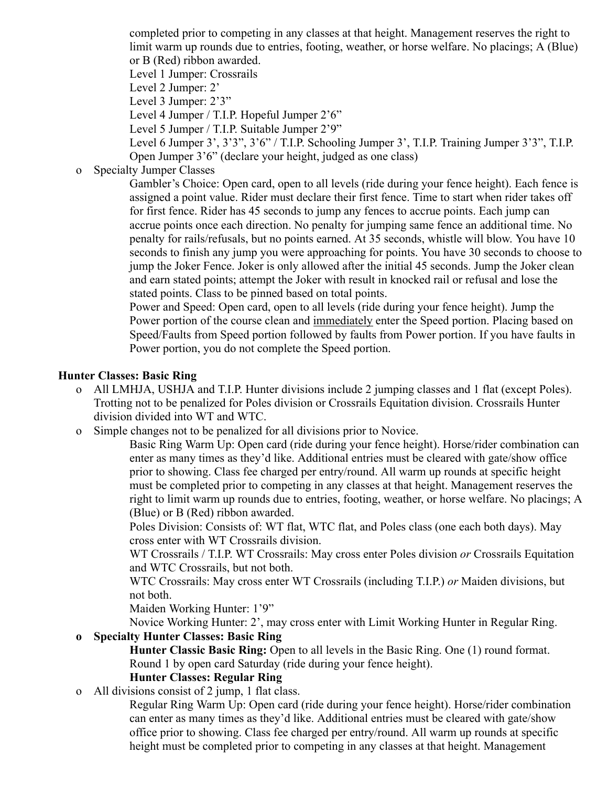completed prior to competing in any classes at that height. Management reserves the right to limit warm up rounds due to entries, footing, weather, or horse welfare. No placings; A (Blue) or B (Red) ribbon awarded.

Level 1 Jumper: Crossrails

Level 2 Jumper: 2'

Level 3 Jumper: 2'3"

Level 4 Jumper / T.I.P. Hopeful Jumper 2'6"

Level 5 Jumper / T.I.P. Suitable Jumper 2'9"

 Level 6 Jumper 3', 3'3", 3'6" / T.I.P. Schooling Jumper 3', T.I.P. Training Jumper 3'3", T.I.P. Open Jumper 3'6" (declare your height, judged as one class)

o Specialty Jumper Classes

 Gambler's Choice: Open card, open to all levels (ride during your fence height). Each fence is assigned a point value. Rider must declare their first fence. Time to start when rider takes off for first fence. Rider has 45 seconds to jump any fences to accrue points. Each jump can accrue points once each direction. No penalty for jumping same fence an additional time. No penalty for rails/refusals, but no points earned. At 35 seconds, whistle will blow. You have 10 seconds to finish any jump you were approaching for points. You have 30 seconds to choose to jump the Joker Fence. Joker is only allowed after the initial 45 seconds. Jump the Joker clean and earn stated points; attempt the Joker with result in knocked rail or refusal and lose the stated points. Class to be pinned based on total points.

 Power and Speed: Open card, open to all levels (ride during your fence height). Jump the Power portion of the course clean and immediately enter the Speed portion. Placing based on Speed/Faults from Speed portion followed by faults from Power portion. If you have faults in Power portion, you do not complete the Speed portion.

## **Hunter Classes: Basic Ring**

- o All LMHJA, USHJA and T.I.P. Hunter divisions include 2 jumping classes and 1 flat (except Poles). Trotting not to be penalized for Poles division or Crossrails Equitation division. Crossrails Hunter division divided into WT and WTC.
- o Simple changes not to be penalized for all divisions prior to Novice.

 Basic Ring Warm Up: Open card (ride during your fence height). Horse/rider combination can enter as many times as they'd like. Additional entries must be cleared with gate/show office prior to showing. Class fee charged per entry/round. All warm up rounds at specific height must be completed prior to competing in any classes at that height. Management reserves the right to limit warm up rounds due to entries, footing, weather, or horse welfare. No placings; A (Blue) or B (Red) ribbon awarded.

 Poles Division: Consists of: WT flat, WTC flat, and Poles class (one each both days). May cross enter with WT Crossrails division.

 WT Crossrails / T.I.P. WT Crossrails: May cross enter Poles division *or* Crossrails Equitation and WTC Crossrails, but not both.

 WTC Crossrails: May cross enter WT Crossrails (including T.I.P.) *or* Maiden divisions, but not both.

Maiden Working Hunter: 1'9"

Novice Working Hunter: 2', may cross enter with Limit Working Hunter in Regular Ring.

 **o Specialty Hunter Classes: Basic Ring** 

 **Hunter Classic Basic Ring:** Open to all levels in the Basic Ring. One (1) round format. Round 1 by open card Saturday (ride during your fence height).

#### **Hunter Classes: Regular Ring**

o All divisions consist of 2 jump, 1 flat class.

 Regular Ring Warm Up: Open card (ride during your fence height). Horse/rider combination can enter as many times as they'd like. Additional entries must be cleared with gate/show office prior to showing. Class fee charged per entry/round. All warm up rounds at specific height must be completed prior to competing in any classes at that height. Management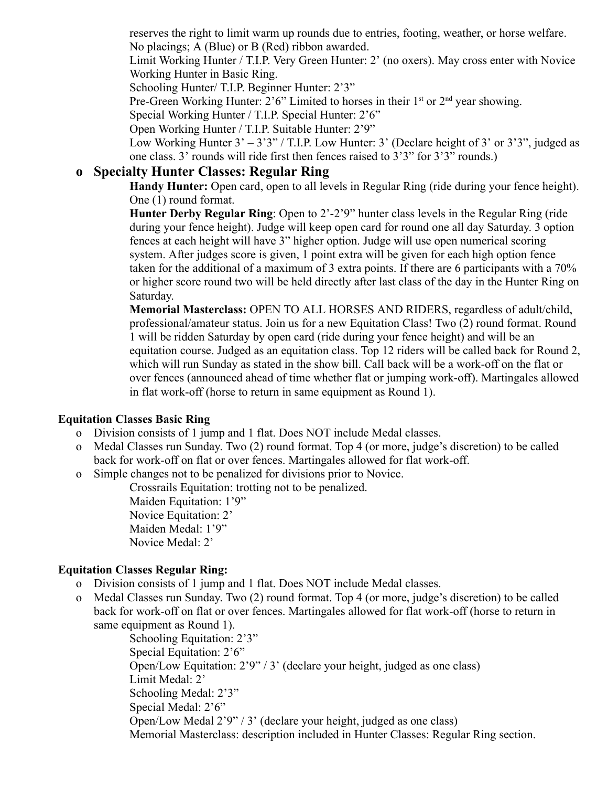reserves the right to limit warm up rounds due to entries, footing, weather, or horse welfare. No placings; A (Blue) or B (Red) ribbon awarded.

 Limit Working Hunter / T.I.P. Very Green Hunter: 2' (no oxers). May cross enter with Novice Working Hunter in Basic Ring.

Schooling Hunter/ T.I.P. Beginner Hunter: 2'3"

Pre-Green Working Hunter: 2'6" Limited to horses in their  $1<sup>st</sup>$  or  $2<sup>nd</sup>$  year showing.

Special Working Hunter / T.I.P. Special Hunter: 2'6"

Open Working Hunter / T.I.P. Suitable Hunter: 2'9"

Low Working Hunter  $3' - 3'3''/$  T.I.P. Low Hunter: 3' (Declare height of 3' or 3'3", judged as one class. 3' rounds will ride first then fences raised to 3'3" for 3'3" rounds.)

## **o Specialty Hunter Classes: Regular Ring**

 **Handy Hunter:** Open card, open to all levels in Regular Ring (ride during your fence height). One (1) round format.

**Hunter Derby Regular Ring:** Open to 2'-2'9" hunter class levels in the Regular Ring (ride during your fence height). Judge will keep open card for round one all day Saturday. 3 option fences at each height will have 3" higher option. Judge will use open numerical scoring system. After judges score is given, 1 point extra will be given for each high option fence taken for the additional of a maximum of 3 extra points. If there are 6 participants with a 70% or higher score round two will be held directly after last class of the day in the Hunter Ring on Saturday.

 **Memorial Masterclass:** OPEN TO ALL HORSES AND RIDERS, regardless of adult/child, professional/amateur status. Join us for a new Equitation Class! Two (2) round format. Round 1 will be ridden Saturday by open card (ride during your fence height) and will be an equitation course. Judged as an equitation class. Top 12 riders will be called back for Round 2, which will run Sunday as stated in the show bill. Call back will be a work-off on the flat or over fences (announced ahead of time whether flat or jumping work-off). Martingales allowed in flat work-off (horse to return in same equipment as Round 1).

## **Equitation Classes Basic Ring**

- o Division consists of 1 jump and 1 flat. Does NOT include Medal classes.
- o Medal Classes run Sunday. Two (2) round format. Top 4 (or more, judge's discretion) to be called back for work-off on flat or over fences. Martingales allowed for flat work-off.
- o Simple changes not to be penalized for divisions prior to Novice.

Crossrails Equitation: trotting not to be penalized.

 Maiden Equitation: 1'9" Novice Equitation: 2' Maiden Medal: 1'9" Novice Medal: 2'

## **Equitation Classes Regular Ring:**

- o Division consists of 1 jump and 1 flat. Does NOT include Medal classes.
- o Medal Classes run Sunday. Two (2) round format. Top 4 (or more, judge's discretion) to be called back for work-off on flat or over fences. Martingales allowed for flat work-off (horse to return in same equipment as Round 1).

 Schooling Equitation: 2'3" Special Equitation: 2'6" Open/Low Equitation: 2'9" / 3' (declare your height, judged as one class) Limit Medal: 2' Schooling Medal: 2'3" Special Medal: 2'6" Open/Low Medal 2'9" / 3' (declare your height, judged as one class) Memorial Masterclass: description included in Hunter Classes: Regular Ring section.